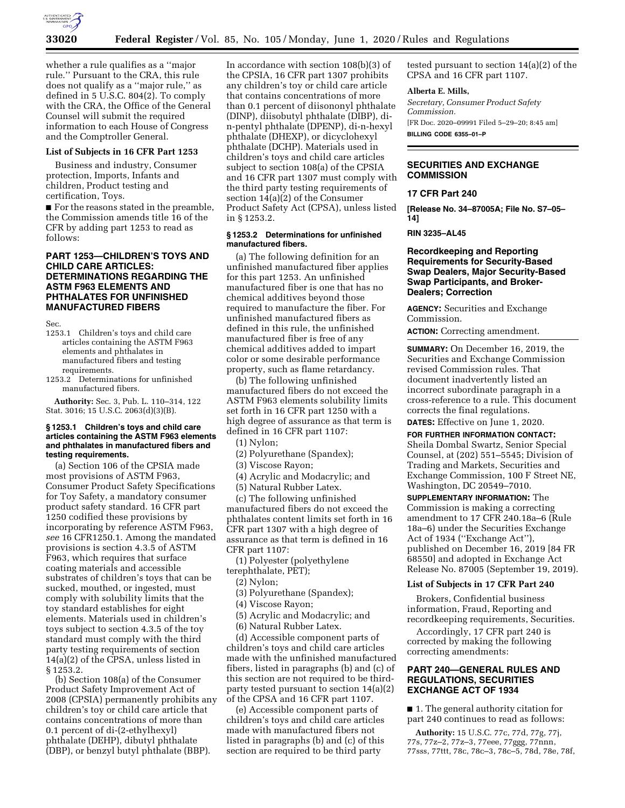

whether a rule qualifies as a ''major rule.'' Pursuant to the CRA, this rule does not qualify as a ''major rule,'' as defined in 5 U.S.C. 804(2). To comply with the CRA, the Office of the General Counsel will submit the required information to each House of Congress and the Comptroller General.

### **List of Subjects in 16 CFR Part 1253**

Business and industry, Consumer protection, Imports, Infants and children, Product testing and certification, Toys.

■ For the reasons stated in the preamble, the Commission amends title 16 of the CFR by adding part 1253 to read as follows:

# **PART 1253—CHILDREN'S TOYS AND CHILD CARE ARTICLES: DETERMINATIONS REGARDING THE ASTM F963 ELEMENTS AND PHTHALATES FOR UNFINISHED MANUFACTURED FIBERS**

Sec.

- 1253.1 Children's toys and child care articles containing the ASTM F963 elements and phthalates in manufactured fibers and testing requirements.
- 1253.2 Determinations for unfinished manufactured fibers.

**Authority:** Sec. 3, Pub. L. 110–314, 122 Stat. 3016; 15 U.S.C. 2063(d)(3)(B).

#### **§ 1253.1 Children's toys and child care articles containing the ASTM F963 elements and phthalates in manufactured fibers and testing requirements.**

(a) Section 106 of the CPSIA made most provisions of ASTM F963, Consumer Product Safety Specifications for Toy Safety, a mandatory consumer product safety standard. 16 CFR part 1250 codified these provisions by incorporating by reference ASTM F963, *see* 16 CFR1250.1. Among the mandated provisions is section 4.3.5 of ASTM F963, which requires that surface coating materials and accessible substrates of children's toys that can be sucked, mouthed, or ingested, must comply with solubility limits that the toy standard establishes for eight elements. Materials used in children's toys subject to section 4.3.5 of the toy standard must comply with the third party testing requirements of section 14(a)(2) of the CPSA, unless listed in § 1253.2.

(b) Section 108(a) of the Consumer Product Safety Improvement Act of 2008 (CPSIA) permanently prohibits any children's toy or child care article that contains concentrations of more than 0.1 percent of di-(2-ethylhexyl) phthalate (DEHP), dibutyl phthalate (DBP), or benzyl butyl phthalate (BBP).

In accordance with section 108(b)(3) of the CPSIA, 16 CFR part 1307 prohibits any children's toy or child care article that contains concentrations of more than 0.1 percent of diisononyl phthalate (DINP), diisobutyl phthalate (DIBP), din-pentyl phthalate (DPENP), di-n-hexyl phthalate (DHEXP), or dicyclohexyl phthalate (DCHP). Materials used in children's toys and child care articles subject to section 108(a) of the CPSIA and 16 CFR part 1307 must comply with the third party testing requirements of section 14(a)(2) of the Consumer Product Safety Act (CPSA), unless listed in § 1253.2.

## **§ 1253.2 Determinations for unfinished manufactured fibers.**

(a) The following definition for an unfinished manufactured fiber applies for this part 1253. An unfinished manufactured fiber is one that has no chemical additives beyond those required to manufacture the fiber. For unfinished manufactured fibers as defined in this rule, the unfinished manufactured fiber is free of any chemical additives added to impart color or some desirable performance property, such as flame retardancy.

(b) The following unfinished manufactured fibers do not exceed the ASTM F963 elements solubility limits set forth in 16 CFR part 1250 with a high degree of assurance as that term is defined in 16 CFR part 1107:

(1) Nylon;

- (2) Polyurethane (Spandex);
- (3) Viscose Rayon;
- (4) Acrylic and Modacrylic; and

(5) Natural Rubber Latex.

(c) The following unfinished manufactured fibers do not exceed the phthalates content limits set forth in 16 CFR part 1307 with a high degree of assurance as that term is defined in 16 CFR part 1107:

(1) Polyester (polyethylene terephthalate, PET);

- (2) Nylon;
- (3) Polyurethane (Spandex);

(4) Viscose Rayon;

- (5) Acrylic and Modacrylic; and
- (6) Natural Rubber Latex.

(d) Accessible component parts of children's toys and child care articles made with the unfinished manufactured fibers, listed in paragraphs (b) and (c) of this section are not required to be thirdparty tested pursuant to section 14(a)(2) of the CPSA and 16 CFR part 1107.

(e) Accessible component parts of children's toys and child care articles made with manufactured fibers not listed in paragraphs (b) and (c) of this section are required to be third party

tested pursuant to section 14(a)(2) of the CPSA and 16 CFR part 1107.

### **Alberta E. Mills,**

*Secretary, Consumer Product Safety Commission.*  [FR Doc. 2020–09991 Filed 5–29–20; 8:45 am] **BILLING CODE 6355–01–P** 

# **SECURITIES AND EXCHANGE COMMISSION**

### **17 CFR Part 240**

**[Release No. 34–87005A; File No. S7–05– 14]** 

## **RIN 3235–AL45**

# **Recordkeeping and Reporting Requirements for Security-Based Swap Dealers, Major Security-Based Swap Participants, and Broker-Dealers; Correction**

**AGENCY:** Securities and Exchange Commission.

**ACTION:** Correcting amendment.

**SUMMARY:** On December 16, 2019, the Securities and Exchange Commission revised Commission rules. That document inadvertently listed an incorrect subordinate paragraph in a cross-reference to a rule. This document corrects the final regulations.

**DATES:** Effective on June 1, 2020.

**FOR FURTHER INFORMATION CONTACT:**  Sheila Dombal Swartz, Senior Special Counsel, at (202) 551–5545; Division of Trading and Markets, Securities and Exchange Commission, 100 F Street NE, Washington, DC 20549–7010.

**SUPPLEMENTARY INFORMATION:** The Commission is making a correcting amendment to 17 CFR 240.18a–6 (Rule 18a–6) under the Securities Exchange Act of 1934 (''Exchange Act''), published on December 16, 2019 [84 FR 68550] and adopted in Exchange Act Release No. 87005 (September 19, 2019).

## **List of Subjects in 17 CFR Part 240**

Brokers, Confidential business information, Fraud, Reporting and recordkeeping requirements, Securities.

Accordingly, 17 CFR part 240 is corrected by making the following correcting amendments:

# **PART 240—GENERAL RULES AND REGULATIONS, SECURITIES EXCHANGE ACT OF 1934**

■ 1. The general authority citation for part 240 continues to read as follows:

**Authority:** 15 U.S.C. 77c, 77d, 77g, 77j, 77s, 77z–2, 77z–3, 77eee, 77ggg, 77nnn, 77sss, 77ttt, 78c, 78c–3, 78c–5, 78d, 78e, 78f,